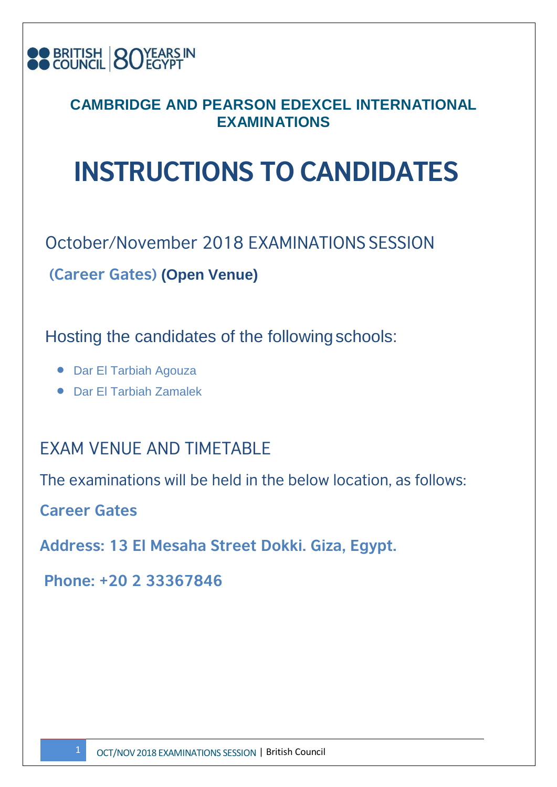

# **INSTRUCTIONS TO CANDIDATES**

October/November 2018 EXAMINATIONS SESSION

**(Career Gates) (Open Venue)**

Hosting the candidates of the followingschools:

- Dar El Tarbiah Agouza
- Dar El Tarbiah Zamalek

EXAM VENUE AND TIMETABLE

The examinations will be held in the below location, as follows:

**Career Gates**

**Address: 13 El Mesaha Street Dokki. Giza, Egypt.**

**Phone: +20 2 33367846**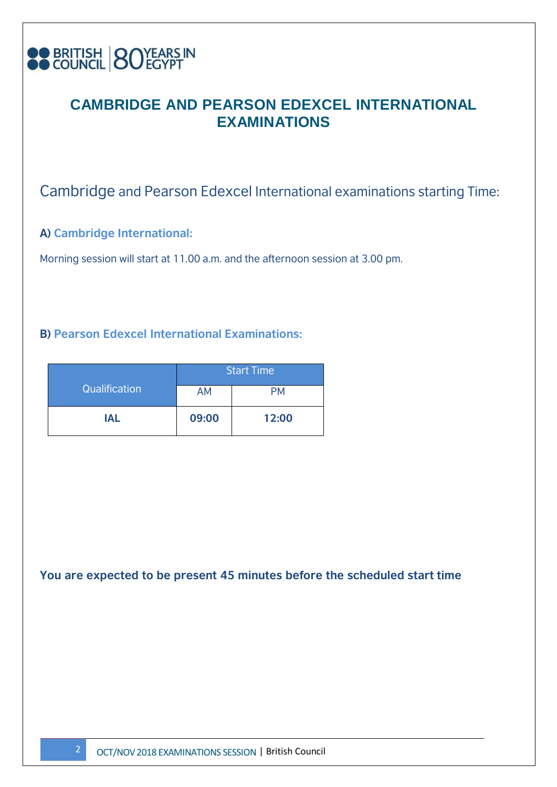

## Cambridge and Pearson Edexcel International examinations starting Time:

#### **A) Cambridge International:**

Morning session will start at 11.00 a.m. and the afternoon session at 3.00 pm.

#### **B) Pearson Edexcel International Examinations:**

|               | <b>Start Time</b> |       |
|---------------|-------------------|-------|
| Qualification | AM                | РM    |
| IAL           | 09:00             | 12:00 |

**You are expected to be present 45 minutes before the scheduled start time**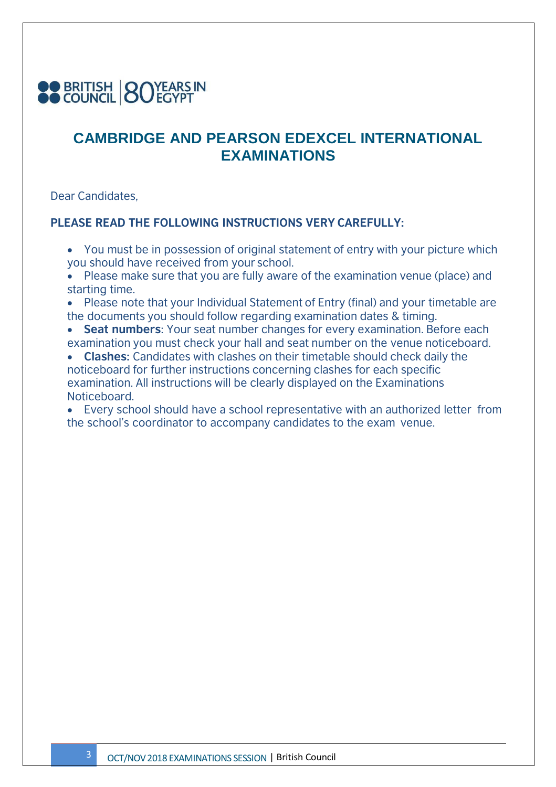

Dear Candidates,

#### **PLEASE READ THE FOLLOWING INSTRUCTIONS VERY CAREFULLY:**

- You must be in possession of original statement of entry with your picture which you should have received from your school.
- Please make sure that you are fully aware of the examination venue (place) and starting time.
- Please note that your Individual Statement of Entry (final) and your timetable are the documents you should follow regarding examination dates & timing.
- **Seat numbers**: Your seat number changes for every examination. Before each examination you must check your hall and seat number on the venue noticeboard.
- **Clashes:** Candidates with clashes on their timetable should check daily the noticeboard for further instructions concerning clashes for each specific examination. All instructions will be clearly displayed on the Examinations Noticeboard.

• Every school should have a school representative with an authorized letter from the school's coordinator to accompany candidates to the exam venue.